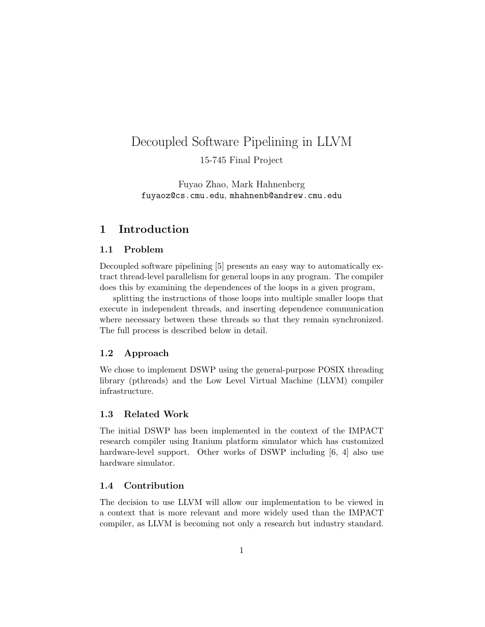# Decoupled Software Pipelining in LLVM

15-745 Final Project

Fuyao Zhao, Mark Hahnenberg fuyaoz@cs.cmu.edu, mhahnenb@andrew.cmu.edu

# 1 Introduction

## 1.1 Problem

Decoupled software pipelining [5] presents an easy way to automatically extract thread-level parallelism for general loops in any program. The compiler does this by examining the dependences of the loops in a given program,

splitting the instructions of those loops into multiple smaller loops that execute in independent threads, and inserting dependence communication where necessary between these threads so that they remain synchronized. The full process is described below in detail.

#### 1.2 Approach

We chose to implement DSWP using the general-purpose POSIX threading library (pthreads) and the Low Level Virtual Machine (LLVM) compiler infrastructure.

## 1.3 Related Work

The initial DSWP has been implemented in the context of the IMPACT research compiler using Itanium platform simulator which has customized hardware-level support. Other works of DSWP including [6, 4] also use hardware simulator.

## 1.4 Contribution

The decision to use LLVM will allow our implementation to be viewed in a context that is more relevant and more widely used than the IMPACT compiler, as LLVM is becoming not only a research but industry standard.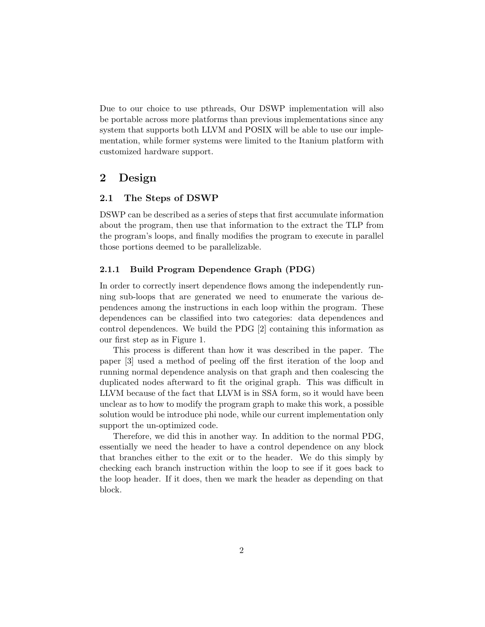Due to our choice to use pthreads, Our DSWP implementation will also be portable across more platforms than previous implementations since any system that supports both LLVM and POSIX will be able to use our implementation, while former systems were limited to the Itanium platform with customized hardware support.

# 2 Design

#### 2.1 The Steps of DSWP

DSWP can be described as a series of steps that first accumulate information about the program, then use that information to the extract the TLP from the program's loops, and finally modifies the program to execute in parallel those portions deemed to be parallelizable.

#### 2.1.1 Build Program Dependence Graph (PDG)

In order to correctly insert dependence flows among the independently running sub-loops that are generated we need to enumerate the various dependences among the instructions in each loop within the program. These dependences can be classified into two categories: data dependences and control dependences. We build the PDG [2] containing this information as our first step as in Figure 1.

This process is different than how it was described in the paper. The paper [3] used a method of peeling off the first iteration of the loop and running normal dependence analysis on that graph and then coalescing the duplicated nodes afterward to fit the original graph. This was difficult in LLVM because of the fact that LLVM is in SSA form, so it would have been unclear as to how to modify the program graph to make this work, a possible solution would be introduce phi node, while our current implementation only support the un-optimized code.

Therefore, we did this in another way. In addition to the normal PDG, essentially we need the header to have a control dependence on any block that branches either to the exit or to the header. We do this simply by checking each branch instruction within the loop to see if it goes back to the loop header. If it does, then we mark the header as depending on that block.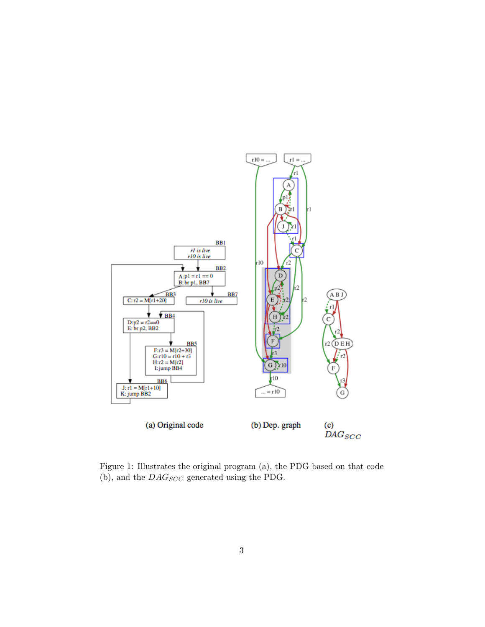

Figure 1: Illustrates the original program (a), the PDG based on that code (b), and the  $\mathit{DAG_{SCC}}$  generated using the PDG.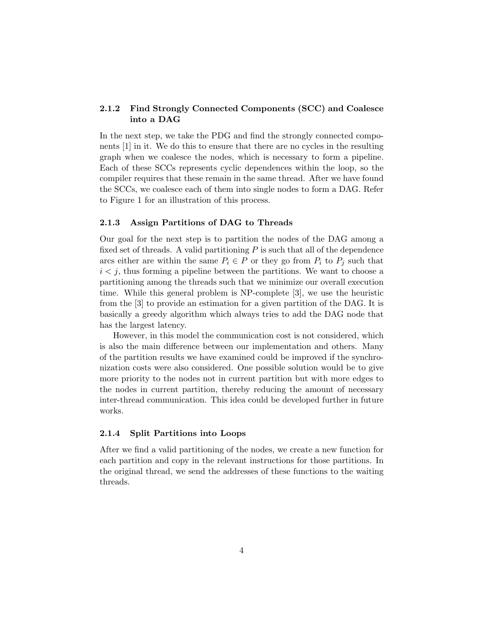## 2.1.2 Find Strongly Connected Components (SCC) and Coalesce into a DAG

In the next step, we take the PDG and find the strongly connected components [1] in it. We do this to ensure that there are no cycles in the resulting graph when we coalesce the nodes, which is necessary to form a pipeline. Each of these SCCs represents cyclic dependences within the loop, so the compiler requires that these remain in the same thread. After we have found the SCCs, we coalesce each of them into single nodes to form a DAG. Refer to Figure 1 for an illustration of this process.

#### 2.1.3 Assign Partitions of DAG to Threads

Our goal for the next step is to partition the nodes of the DAG among a fixed set of threads. A valid partitioning  $P$  is such that all of the dependence arcs either are within the same  $P_i \in P$  or they go from  $P_i$  to  $P_j$  such that  $i < j$ , thus forming a pipeline between the partitions. We want to choose a partitioning among the threads such that we minimize our overall execution time. While this general problem is NP-complete [3], we use the heuristic from the [3] to provide an estimation for a given partition of the DAG. It is basically a greedy algorithm which always tries to add the DAG node that has the largest latency.

However, in this model the communication cost is not considered, which is also the main difference between our implementation and others. Many of the partition results we have examined could be improved if the synchronization costs were also considered. One possible solution would be to give more priority to the nodes not in current partition but with more edges to the nodes in current partition, thereby reducing the amount of necessary inter-thread communication. This idea could be developed further in future works.

#### 2.1.4 Split Partitions into Loops

After we find a valid partitioning of the nodes, we create a new function for each partition and copy in the relevant instructions for those partitions. In the original thread, we send the addresses of these functions to the waiting threads.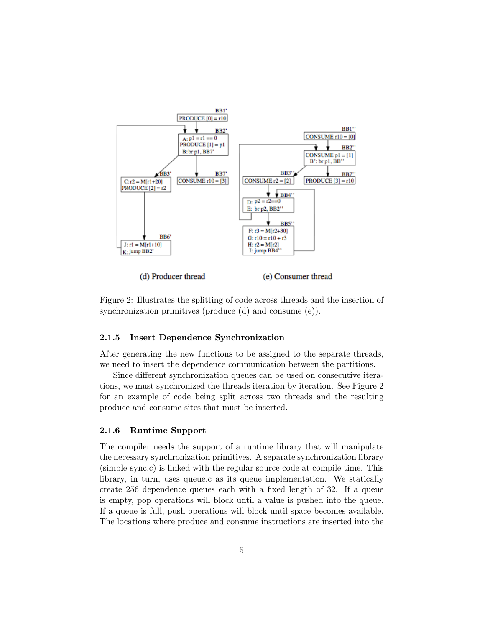

Figure 2: Illustrates the splitting of code across threads and the insertion of synchronization primitives (produce (d) and consume (e)).

#### 2.1.5 Insert Dependence Synchronization

After generating the new functions to be assigned to the separate threads, we need to insert the dependence communication between the partitions.

Since different synchronization queues can be used on consecutive iterations, we must synchronized the threads iteration by iteration. See Figure 2 for an example of code being split across two threads and the resulting produce and consume sites that must be inserted.

### 2.1.6 Runtime Support

The compiler needs the support of a runtime library that will manipulate the necessary synchronization primitives. A separate synchronization library (simple sync.c) is linked with the regular source code at compile time. This library, in turn, uses queue.c as its queue implementation. We statically create 256 dependence queues each with a fixed length of 32. If a queue is empty, pop operations will block until a value is pushed into the queue. If a queue is full, push operations will block until space becomes available. The locations where produce and consume instructions are inserted into the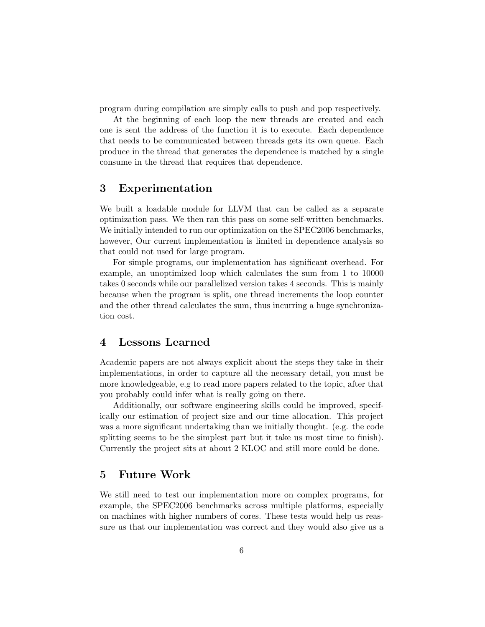program during compilation are simply calls to push and pop respectively.

At the beginning of each loop the new threads are created and each one is sent the address of the function it is to execute. Each dependence that needs to be communicated between threads gets its own queue. Each produce in the thread that generates the dependence is matched by a single consume in the thread that requires that dependence.

# 3 Experimentation

We built a loadable module for LLVM that can be called as a separate optimization pass. We then ran this pass on some self-written benchmarks. We initially intended to run our optimization on the SPEC2006 benchmarks, however, Our current implementation is limited in dependence analysis so that could not used for large program.

For simple programs, our implementation has significant overhead. For example, an unoptimized loop which calculates the sum from 1 to 10000 takes 0 seconds while our parallelized version takes 4 seconds. This is mainly because when the program is split, one thread increments the loop counter and the other thread calculates the sum, thus incurring a huge synchronization cost.

## 4 Lessons Learned

Academic papers are not always explicit about the steps they take in their implementations, in order to capture all the necessary detail, you must be more knowledgeable, e.g to read more papers related to the topic, after that you probably could infer what is really going on there.

Additionally, our software engineering skills could be improved, specifically our estimation of project size and our time allocation. This project was a more significant undertaking than we initially thought. (e.g. the code splitting seems to be the simplest part but it take us most time to finish). Currently the project sits at about 2 KLOC and still more could be done.

## 5 Future Work

We still need to test our implementation more on complex programs, for example, the SPEC2006 benchmarks across multiple platforms, especially on machines with higher numbers of cores. These tests would help us reassure us that our implementation was correct and they would also give us a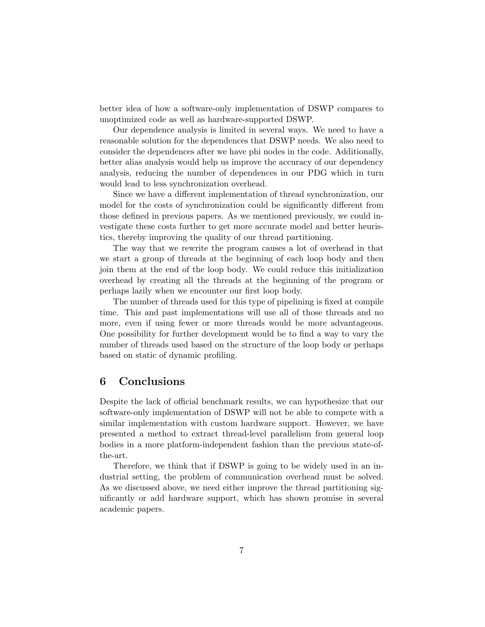better idea of how a software-only implementation of DSWP compares to unoptimized code as well as hardware-supported DSWP.

Our dependence analysis is limited in several ways. We need to have a reasonable solution for the dependences that DSWP needs. We also need to consider the dependences after we have phi nodes in the code. Additionally, better alias analysis would help us improve the accuracy of our dependency analysis, reducing the number of dependences in our PDG which in turn would lead to less synchronization overhead.

Since we have a different implementation of thread synchronization, our model for the costs of synchronization could be significantly different from those defined in previous papers. As we mentioned previously, we could investigate these costs further to get more accurate model and better heuristics, thereby improving the quality of our thread partitioning.

The way that we rewrite the program causes a lot of overhead in that we start a group of threads at the beginning of each loop body and then join them at the end of the loop body. We could reduce this initialization overhead by creating all the threads at the beginning of the program or perhaps lazily when we encounter our first loop body.

The number of threads used for this type of pipelining is fixed at compile time. This and past implementations will use all of those threads and no more, even if using fewer or more threads would be more advantageous. One possibility for further development would be to find a way to vary the number of threads used based on the structure of the loop body or perhaps based on static of dynamic profiling.

# 6 Conclusions

Despite the lack of official benchmark results, we can hypothesize that our software-only implementation of DSWP will not be able to compete with a similar implementation with custom hardware support. However, we have presented a method to extract thread-level parallelism from general loop bodies in a more platform-independent fashion than the previous state-ofthe-art.

Therefore, we think that if DSWP is going to be widely used in an industrial setting, the problem of communication overhead must be solved. As we discussed above, we need either improve the thread partitioning significantly or add hardware support, which has shown promise in several academic papers.